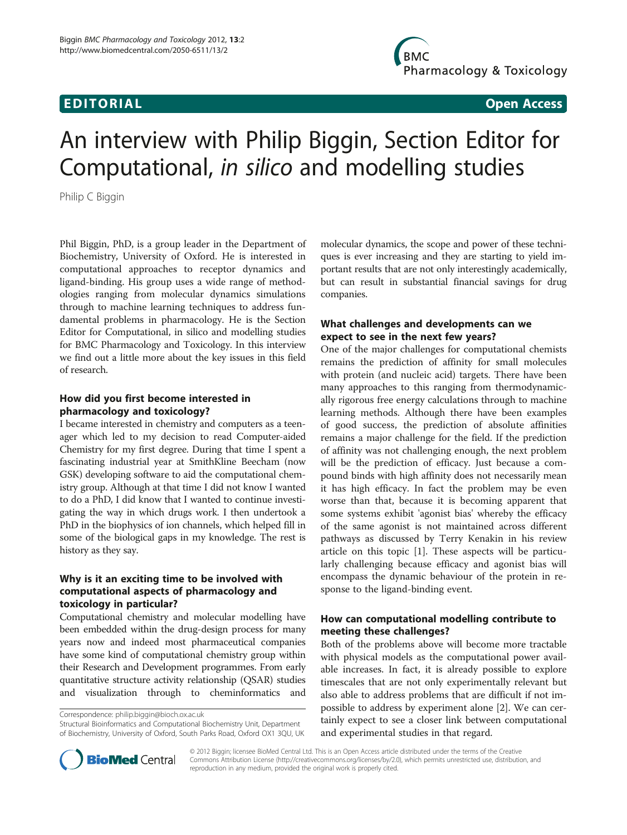# **EDITORIAL** CONTROL CONTROL CONTROL CONTROL CONTROL CONTROL CONTROL CONTROL CONTROL CONTROL CONTROL CONTROL CONTROL CONTROL CONTROL CONTROL CONTROL CONTROL CONTROL CONTROL CONTROL CONTROL CONTROL CONTROL CONTROL CONTROL CO

# An interview with Philip Biggin, Section Editor for Computational, in silico and modelling studies

Philip C Biggin

Phil Biggin, PhD, is a group leader in the Department of Biochemistry, University of Oxford. He is interested in computational approaches to receptor dynamics and ligand-binding. His group uses a wide range of methodologies ranging from molecular dynamics simulations through to machine learning techniques to address fundamental problems in pharmacology. He is the Section Editor for Computational, in silico and modelling studies for BMC Pharmacology and Toxicology. In this interview we find out a little more about the key issues in this field of research.

#### How did you first become interested in pharmacology and toxicology?

I became interested in chemistry and computers as a teenager which led to my decision to read Computer-aided Chemistry for my first degree. During that time I spent a fascinating industrial year at SmithKline Beecham (now GSK) developing software to aid the computational chemistry group. Although at that time I did not know I wanted to do a PhD, I did know that I wanted to continue investigating the way in which drugs work. I then undertook a PhD in the biophysics of ion channels, which helped fill in some of the biological gaps in my knowledge. The rest is history as they say.

### Why is it an exciting time to be involved with computational aspects of pharmacology and toxicology in particular?

Computational chemistry and molecular modelling have been embedded within the drug-design process for many years now and indeed most pharmaceutical companies have some kind of computational chemistry group within their Research and Development programmes. From early quantitative structure activity relationship (QSAR) studies and visualization through to cheminformatics and

Correspondence: philip.biggin@bioch.ox.ac.uk

Structural Bioinformatics and Computational Biochemistry Unit, Department of Biochemistry, University of Oxford, South Parks Road, Oxford OX1 3QU, UK



#### What challenges and developments can we expect to see in the next few years?

One of the major challenges for computational chemists remains the prediction of affinity for small molecules with protein (and nucleic acid) targets. There have been many approaches to this ranging from thermodynamically rigorous free energy calculations through to machine learning methods. Although there have been examples of good success, the prediction of absolute affinities remains a major challenge for the field. If the prediction of affinity was not challenging enough, the next problem will be the prediction of efficacy. Just because a compound binds with high affinity does not necessarily mean it has high efficacy. In fact the problem may be even worse than that, because it is becoming apparent that some systems exhibit 'agonist bias' whereby the efficacy of the same agonist is not maintained across different pathways as discussed by Terry Kenakin in his review article on this topic [\[1](#page-1-0)]. These aspects will be particularly challenging because efficacy and agonist bias will encompass the dynamic behaviour of the protein in response to the ligand-binding event.

### How can computational modelling contribute to meeting these challenges?

Both of the problems above will become more tractable with physical models as the computational power available increases. In fact, it is already possible to explore timescales that are not only experimentally relevant but also able to address problems that are difficult if not impossible to address by experiment alone [[2\]](#page-1-0). We can certainly expect to see a closer link between computational and experimental studies in that regard.



© 2012 Biggin; licensee BioMed Central Ltd. This is an Open Access article distributed under the terms of the Creative Commons Attribution License [\(http://creativecommons.org/licenses/by/2.0\)](http://creativecommons.org/licenses/by/2.0), which permits unrestricted use, distribution, and reproduction in any medium, provided the original work is properly cited.